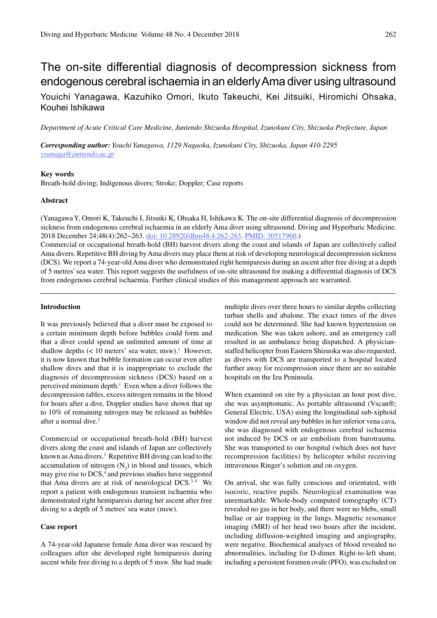# The on-site differential diagnosis of decompression sickness from endogenous cerebral ischaemia in an elderly Ama diver using ultrasound

Youichi Yanagawa, Kazuhiko Omori, Ikuto Takeuchi, Kei Jitsuiki, Hiromichi Ohsaka, Kouhei Ishikawa

*Department of Acute Critical Care Medicine, Juntendo Shizuoka Hospital, Izunokuni City, Shizuoka Prefecture, Japan*

*Corresponding author: Youchi Yanagawa, 1129 Nagaoka, Izunokuni City, Shizuoka, Japan 410-2295 yyanaga@juntendo.ac.jp*

# **Key words**

Breath-hold diving; Indigenous divers; Stroke; Doppler; Case reports

## **Abstract**

(Yanagawa Y, Omori K, Takeuchi I, Jitsuiki K, Ohsaka H, Ishikawa K. The on-site differential diagnosis of decompression sickness from endogenous cerebral ischaemia in an elderly Ama diver using ultrasound. Diving and Hyperbaric Medicine. 2018 December 24;48(4):262−263. doi: 10 28920/dhm48.4.262-263. PMID: 30517960.) Commercial or occupational breath-hold (BH) harvest divers along the coast and islands of Japan are collectively called Ama divers. Repetitive BH diving by Ama divers may place them at risk of developing neurological decompression sickness (DCS). We report a 74-year-old Ama diver who demonstrated right hemiparesis during an ascent after free diving at a depth of 5 metres' sea water. This report suggests the usefulness of on-site ultrasound for making a differential diagnosis of DCS

from endogenous cerebral ischaemia. Further clinical studies of this management approach are warranted.

#### **Introduction**

It was previously believed that a diver must be exposed to a certain minimum depth before bubbles could form and that a diver could spend an unlimited amount of time at shallow depths  $(< 10$  meters' sea water, msw).<sup>1</sup> However, it is now known that bubble formation can occur even after shallow dives and that it is inappropriate to exclude the diagnosis of decompression sickness (DCS) based on a perceived minimum depth.<sup>1</sup> Even when a diver follows the decompression tables, excess nitrogen remains in the blood for hours after a dive. Doppler studies have shown that up to 10% of remaining nitrogen may be released as bubbles after a normal dive.<sup>2</sup>

Commercial or occupational breath-hold (BH) harvest divers along the coast and islands of Japan are collectively known as Ama divers.<sup>3</sup> Repetitive BH diving can lead to the accumulation of nitrogen  $(N_2)$  in blood and tissues, which may give rise to DCS,<sup>4</sup> and previous studies have suggested that Ama divers are at risk of neurological DCS. $3-5$  We report a patient with endogenous transient ischaemia who demonstrated right hemiparesis during her ascent after free diving to a depth of 5 metres' sea water (msw).

# **Case report**

A 74-year-old Japanese female Ama diver was rescued by colleagues after she developed right hemiparesis during ascent while free diving to a depth of 5 msw. She had made multiple dives over three hours to similar depths collecting turban shells and abalone. The exact times of the dives could not be determined. She had known hypertension on medication. She was taken ashore, and an emergency call resulted in an ambulance being dispatched. A physicianstaffed helicopter from Eastern Shizuoka was also requested, as divers with DCS are transported to a hospital located further away for recompression since there are no suitable hospitals on the Izu Peninsula.

When examined on site by a physician an hour post dive, she was asymptomatic. As portable ultrasound (Vscan®; General Electric, USA) using the longitudinal sub-xiphoid window did not reveal any bubbles in her inferior vena cava, she was diagnosed with endogenous cerebral ischaemia not induced by DCS or air embolism from barotrauma. She was transported to our hospital (which does not have recompression facilities) by helicopter whilst receiving intravenous Ringer's solution and on oxygen.

On arrival, she was fully conscious and orientated, with isocoric, reactive pupils. Neurological examination was unremarkable. Whole-body computed tomography (CT) revealed no gas in her body, and there were no blebs, small bullae or air trapping in the lungs. Magnetic resonance imaging (MRI) of her head two hours after the incident, including diffusion-weighted imaging and angiography, were negative. Biochemical analyses of blood revealed no abnormalities, including for D-dimer. Right-to-left shunt, including a persistent foramen ovale (PFO), was excluded on